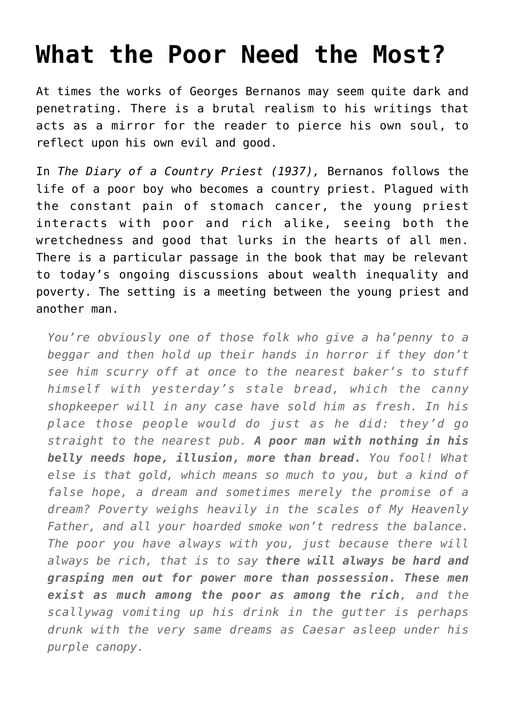## **[What the Poor Need the Most?](https://intellectualtakeout.org/2016/04/what-the-poor-need-the-most/)**

At times the works of Georges Bernanos may seem quite dark and penetrating. There is a brutal realism to his writings that acts as a mirror for the reader to pierce his own soul, to reflect upon his own evil and good.

In *The Diary of a Country Priest (1937),* Bernanos follows the life of a poor boy who becomes a country priest. Plagued with the constant pain of stomach cancer, the young priest interacts with poor and rich alike, seeing both the wretchedness and good that lurks in the hearts of all men. There is a particular passage in the book that may be relevant to today's ongoing discussions about wealth inequality and poverty. The setting is a meeting between the young priest and another man.

*You're obviously one of those folk who give a ha'penny to a beggar and then hold up their hands in horror if they don't see him scurry off at once to the nearest baker's to stuff himself with yesterday's stale bread, which the canny shopkeeper will in any case have sold him as fresh. In his place those people would do just as he did: they'd go straight to the nearest pub. A poor man with nothing in his belly needs hope, illusion, more than bread. You fool! What else is that gold, which means so much to you, but a kind of false hope, a dream and sometimes merely the promise of a dream? Poverty weighs heavily in the scales of My Heavenly Father, and all your hoarded smoke won't redress the balance. The poor you have always with you, just because there will always be rich, that is to say there will always be hard and grasping men out for power more than possession. These men exist as much among the poor as among the rich, and the scallywag vomiting up his drink in the gutter is perhaps drunk with the very same dreams as Caesar asleep under his purple canopy.*